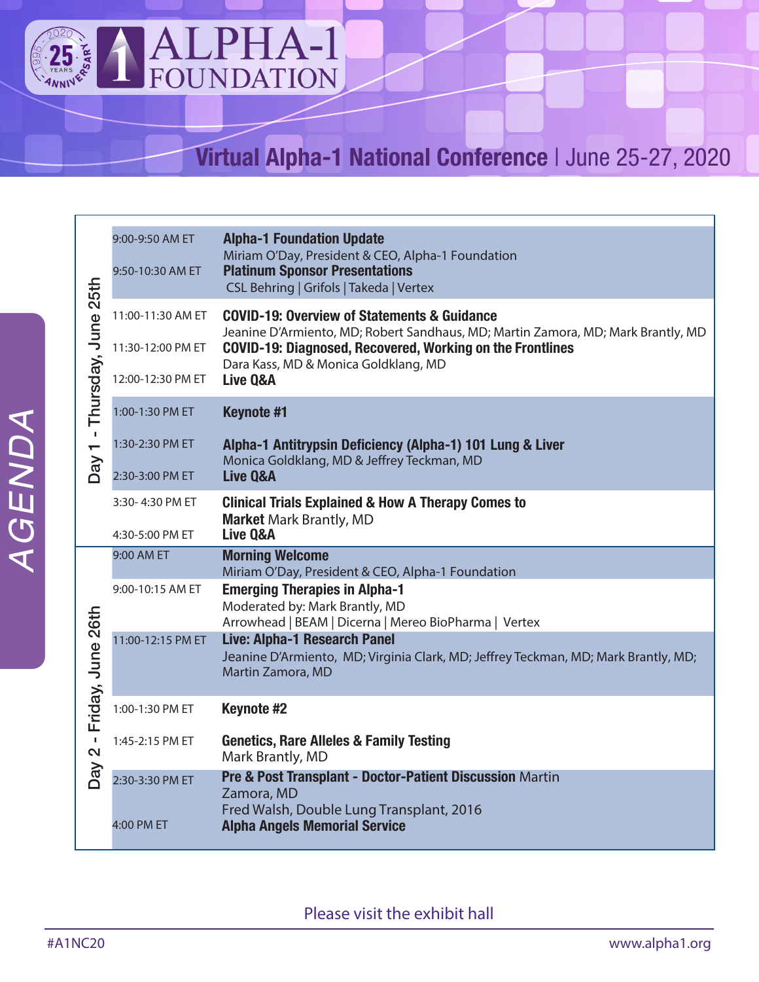

9:00-9:50 AM ET

## **Virtual Alpha-1 National Conference** | June 25-27, 2020

|  | Thursday, June 25th<br>$\mathbf{I}$<br>$\blacksquare$  | 9:50-10:30 AM ET  | Miriam O'Day, President & CEO, Alpha-1 Foundation<br><b>Platinum Sponsor Presentations</b><br>CSL Behring   Grifols   Takeda   Vertex          |
|--|--------------------------------------------------------|-------------------|------------------------------------------------------------------------------------------------------------------------------------------------|
|  |                                                        | 11:00-11:30 AM ET | <b>COVID-19: Overview of Statements &amp; Guidance</b><br>Jeanine D'Armiento, MD; Robert Sandhaus, MD; Martin Zamora, MD; Mark Brantly, MD     |
|  |                                                        | 11:30-12:00 PM ET | COVID-19: Diagnosed, Recovered, Working on the Frontlines<br>Dara Kass, MD & Monica Goldklang, MD                                              |
|  |                                                        | 12:00-12:30 PM ET | Live Q&A                                                                                                                                       |
|  |                                                        | 1:00-1:30 PM ET   | <b>Keynote #1</b>                                                                                                                              |
|  |                                                        | 1:30-2:30 PM ET   | Alpha-1 Antitrypsin Deficiency (Alpha-1) 101 Lung & Liver<br>Monica Goldklang, MD & Jeffrey Teckman, MD                                        |
|  | Day                                                    | 2:30-3:00 PM ET   | <b>Live Q&amp;A</b>                                                                                                                            |
|  |                                                        | 3:30-4:30 PM ET   | <b>Clinical Trials Explained &amp; How A Therapy Comes to</b><br><b>Market Mark Brantly, MD</b>                                                |
|  |                                                        | 4:30-5:00 PM ET   | Live Q&A                                                                                                                                       |
|  |                                                        | 9:00 AM ET        | <b>Morning Welcome</b><br>Miriam O'Day, President & CEO, Alpha-1 Foundation                                                                    |
|  |                                                        | 9:00-10:15 AM ET  | <b>Emerging Therapies in Alpha-1</b><br>Moderated by: Mark Brantly, MD                                                                         |
|  |                                                        |                   |                                                                                                                                                |
|  |                                                        |                   | Arrowhead   BEAM   Dicerna   Mereo BioPharma   Vertex                                                                                          |
|  |                                                        | 11:00-12:15 PM ET | <b>Live: Alpha-1 Research Panel</b><br>Jeanine D'Armiento, MD; Virginia Clark, MD; Jeffrey Teckman, MD; Mark Brantly, MD;<br>Martin Zamora, MD |
|  |                                                        | 1:00-1:30 PM ET   | Keynote #2                                                                                                                                     |
|  | Friday, June 26th<br>$\mathbf{r}$<br>$\mathbf{\Omega}$ | 1:45-2:15 PM ET   | <b>Genetics, Rare Alleles &amp; Family Testing</b><br>Mark Brantly, MD                                                                         |
|  | Day                                                    | 2:30-3:30 PM ET   | Pre & Post Transplant - Doctor-Patient Discussion Martin<br>Zamora, MD                                                                         |
|  |                                                        | 4:00 PM ET        | Fred Walsh, Double Lung Transplant, 2016<br><b>Alpha Angels Memorial Service</b>                                                               |

**Alpha-1 Foundation Update** 

Please visit the exhibit hall